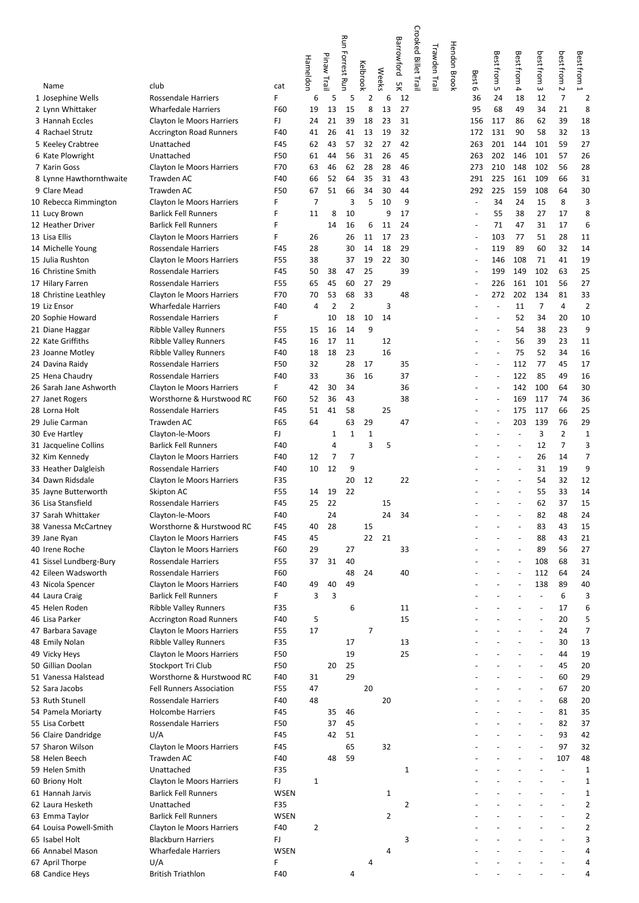|                                           |                                                          |                    |                |             | Run            |                |                | Crooked Billet Trail<br><b>Barrowford</b> |               | <b>Hendon Brook</b> |                          |                                                      |                          |                          |                          |                             |
|-------------------------------------------|----------------------------------------------------------|--------------------|----------------|-------------|----------------|----------------|----------------|-------------------------------------------|---------------|---------------------|--------------------------|------------------------------------------------------|--------------------------|--------------------------|--------------------------|-----------------------------|
|                                           |                                                          |                    | Hameldon       | Pinaw Trail | Forrest Run    |                |                |                                           | Trawden Trail |                     |                          | Best from                                            | Best from                | best from                | best from                | Best from                   |
| Name                                      | club                                                     | cat                |                |             |                | Kelbrook       | <b>Weeks</b>   | χğ                                        |               |                     | Best 6                   | UΠ                                                   | 4                        | $\omega$                 | Ν                        | ⊢                           |
| 1 Josephine Wells                         | <b>Rossendale Harriers</b>                               | F                  | 6              | 5           | 5              | 2              | 6              | 12                                        |               |                     | 36                       | 24                                                   | 18                       | 12                       | 7                        | $\overline{2}$              |
| 2 Lynn Whittaker                          | Wharfedale Harriers                                      | F60                | 19             | 13          | 15             | 8              | 13             | 27                                        |               |                     | 95                       | 68                                                   | 49                       | 34                       | 21                       | 8                           |
| 3 Hannah Eccles                           | Clayton le Moors Harriers                                | FJ                 | 24             | 21          | 39             | 18             | 23             | 31                                        |               |                     | 156                      | 117                                                  | 86                       | 62                       | 39                       | 18                          |
| 4 Rachael Strutz                          | <b>Accrington Road Runners</b>                           | F40                | 41             | 26          | 41             | 13             | 19             | 32                                        |               |                     | 172                      | 131                                                  | 90                       | 58                       | 32                       | 13                          |
| 5 Keeley Crabtree                         | Unattached                                               | F45                | 62             | 43          | 57             | 32             | 27             | 42                                        |               |                     | 263                      | 201                                                  | 144                      | 101                      | 59                       | 27                          |
| 6 Kate Plowright                          | Unattached                                               | F50                | 61             | 44          | 56             | 31             | 26             | 45                                        |               |                     | 263                      | 202                                                  | 146                      | 101                      | 57                       | 26                          |
| 7 Karin Goss                              | Clayton le Moors Harriers                                | F70                | 63             | 46          | 62             | 28             | 28             | 46                                        |               |                     | 273                      | 210                                                  | 148                      | 102                      | 56                       | 28                          |
| 8 Lynne Hawthornthwaite<br>9 Clare Mead   | Trawden AC<br><b>Trawden AC</b>                          | F40<br>F50         | 66<br>67       | 52<br>51    | 64<br>66       | 35<br>34       | 31<br>30       | 43<br>44                                  |               |                     | 291<br>292               | 225<br>225                                           | 161<br>159               | 109<br>108               | 66<br>64                 | 31<br>30                    |
| 10 Rebecca Rimmington                     | Clayton le Moors Harriers                                | F                  | $\overline{7}$ |             | 3              | 5              | 10             | 9                                         |               |                     | $\overline{a}$           | 34                                                   | 24                       | 15                       | 8                        | 3                           |
| 11 Lucy Brown                             | <b>Barlick Fell Runners</b>                              | F                  | 11             | 8           | 10             |                | 9              | 17                                        |               |                     | $\overline{a}$           | 55                                                   | 38                       | 27                       | 17                       | 8                           |
| 12 Heather Driver                         | <b>Barlick Fell Runners</b>                              | F                  |                | 14          | 16             | 6              | 11             | 24                                        |               |                     | ÷,                       | 71                                                   | 47                       | 31                       | 17                       | 6                           |
| 13 Lisa Ellis                             | Clayton le Moors Harriers                                | F                  | 26             |             | 26             | 11             | 17             | 23                                        |               |                     | $\overline{\phantom{a}}$ | 103                                                  | 77                       | 51                       | 28                       | 11                          |
| 14 Michelle Young                         | Rossendale Harriers                                      | F45                | 28             |             | 30             | 14             | 18             | 29                                        |               |                     | $\overline{\phantom{a}}$ | 119                                                  | 89                       | 60                       | 32                       | 14                          |
| 15 Julia Rushton                          | Clayton le Moors Harriers                                | F55                | 38             |             | 37             | 19             | 22             | 30                                        |               |                     | $\overline{\phantom{a}}$ | 146                                                  | 108                      | 71                       | 41                       | 19                          |
| 16 Christine Smith                        | Rossendale Harriers                                      | F45                | 50             | 38          | 47             | 25             |                | 39                                        |               |                     | $\overline{a}$           | 199                                                  | 149                      | 102                      | 63                       | 25                          |
| 17 Hilary Farren                          | Rossendale Harriers                                      | F55                | 65             | 45          | 60             | 27             | 29             |                                           |               |                     |                          | 226                                                  | 161                      | 101                      | 56                       | 27                          |
| 18 Christine Leathley                     | <b>Clayton le Moors Harriers</b>                         | F70                | 70             | 53          | 68             | 33             |                | 48                                        |               |                     |                          | 272                                                  | 202                      | 134                      | 81                       | 33                          |
| 19 Liz Ensor                              | <b>Wharfedale Harriers</b>                               | F40                | 4              | 2           | $\overline{2}$ |                | 3              |                                           |               |                     |                          | $\blacksquare$                                       | 11                       | $\overline{7}$           | 4                        | $\overline{2}$              |
| 20 Sophie Howard                          | <b>Rossendale Harriers</b>                               | F.                 |                | 10          | 18             | 10             | 14             |                                           |               |                     |                          | $\overline{\phantom{a}}$                             | 52                       | 34                       | 20                       | 10                          |
| 21 Diane Haggar                           | <b>Ribble Valley Runners</b>                             | F55                | 15             | 16          | 14             | 9              |                |                                           |               |                     |                          | $\overline{\phantom{a}}$                             | 54                       | 38                       | 23                       | 9                           |
| 22 Kate Griffiths                         | <b>Ribble Valley Runners</b>                             | F45                | 16             | 17          | 11             |                | 12             |                                           |               |                     |                          | $\blacksquare$                                       | 56                       | 39                       | 23                       | 11                          |
| 23 Joanne Motley                          | <b>Ribble Valley Runners</b>                             | F40                | 18             | 18          | 23             |                | 16             |                                           |               |                     |                          | $\overline{a}$                                       | 75                       | 52                       | 34                       | 16                          |
| 24 Davina Raidy                           | <b>Rossendale Harriers</b>                               | F50                | 32             |             | 28             | 17             |                | 35                                        |               |                     |                          | $\overline{\phantom{a}}$                             | 112                      | 77                       | 45                       | 17                          |
| 25 Hena Chaudry                           | Rossendale Harriers                                      | F40<br>F.          | 33<br>42       | 30          | 36<br>34       | 16             |                | 37<br>36                                  |               |                     |                          | $\overline{\phantom{a}}$<br>$\overline{\phantom{a}}$ | 122<br>142               | 85<br>100                | 49<br>64                 | 16<br>30                    |
| 26 Sarah Jane Ashworth<br>27 Janet Rogers | Clayton le Moors Harriers<br>Worsthorne & Hurstwood RC   | F60                | 52             | 36          | 43             |                |                | 38                                        |               |                     |                          | $\blacksquare$                                       | 169                      | 117                      | 74                       | 36                          |
| 28 Lorna Holt                             | <b>Rossendale Harriers</b>                               | F45                | 51             | 41          | 58             |                | 25             |                                           |               |                     |                          | $\overline{a}$                                       | 175                      | 117                      | 66                       | 25                          |
| 29 Julie Carman                           | <b>Trawden AC</b>                                        | F65                | 64             |             | 63             | 29             |                | 47                                        |               |                     |                          | $\blacksquare$                                       | 203                      | 139                      | 76                       | 29                          |
| 30 Eve Hartley                            | Clayton-le-Moors                                         | FJ.                |                | $\mathbf 1$ | $\mathbf{1}$   | $\mathbf 1$    |                |                                           |               |                     |                          |                                                      | $\overline{\phantom{a}}$ | 3                        | $\overline{2}$           | $\mathbf{1}$                |
| 31 Jacqueline Collins                     | <b>Barlick Fell Runners</b>                              | F40                |                | 4           |                | 3              | 5              |                                           |               |                     |                          |                                                      | $\overline{a}$           | 12                       | $\overline{7}$           | 3                           |
| 32 Kim Kennedy                            | Clayton le Moors Harriers                                | F40                | 12             | 7           | $\overline{7}$ |                |                |                                           |               |                     |                          |                                                      | ÷,                       | 26                       | 14                       | $\overline{7}$              |
| 33 Heather Dalgleish                      | <b>Rossendale Harriers</b>                               | F40                | 10             | 12          | 9              |                |                |                                           |               |                     |                          |                                                      | ÷,                       | 31                       | 19                       | 9                           |
| 34 Dawn Ridsdale                          | Clayton le Moors Harriers                                | F35                |                |             | 20             | 12             |                | 22                                        |               |                     |                          |                                                      | $\overline{\phantom{a}}$ | 54                       | 32                       | 12                          |
| 35 Jayne Butterworth                      | Skipton AC                                               | F55                | 14             | 19          | 22             |                |                |                                           |               |                     |                          |                                                      |                          | 55                       | 33                       | 14                          |
| 36 Lisa Stansfield                        | Rossendale Harriers                                      | F45                | 25             | 22          |                |                | 15             |                                           |               |                     |                          |                                                      |                          | 62                       | 37                       | 15                          |
| 37 Sarah Whittaker                        | Clayton-le-Moors                                         | F40                |                | 24          |                |                | 24             | 34                                        |               |                     |                          |                                                      | ÷,                       | 82                       | 48                       | 24                          |
| 38 Vanessa McCartney                      | Worsthorne & Hurstwood RC                                | F45                | 40             | 28          |                | 15             |                |                                           |               |                     |                          |                                                      | ÷,                       | 83                       | 43                       | 15                          |
| 39 Jane Ryan                              | Clayton le Moors Harriers                                | F45                | 45             |             |                | 22             | 21             |                                           |               |                     |                          |                                                      | $\sim$                   | 88                       | 43                       | 21                          |
| 40 Irene Roche                            | Clayton le Moors Harriers                                | F60                | 29             |             | 27             |                |                | 33                                        |               |                     |                          |                                                      | ÷,                       | 89                       | 56                       | 27                          |
| 41 Sissel Lundberg-Bury                   | <b>Rossendale Harriers</b>                               | F55                | 37             | 31          | 40             |                |                |                                           |               |                     |                          |                                                      |                          | 108                      | 68                       | 31                          |
| 42 Eileen Wadsworth                       | <b>Rossendale Harriers</b>                               | F60<br>F40         | 49             | 40          | 48<br>49       | 24             |                | 40                                        |               |                     |                          |                                                      | ÷,<br>$\blacksquare$     | 112<br>138               | 64<br>89                 | 24                          |
| 43 Nicola Spencer<br>44 Laura Craig       | Clayton le Moors Harriers<br><b>Barlick Fell Runners</b> | F                  | 3              | 3           |                |                |                |                                           |               |                     |                          |                                                      | ÷,                       | $\overline{a}$           | 6                        | 40<br>3                     |
| 45 Helen Roden                            | <b>Ribble Valley Runners</b>                             | F35                |                |             | 6              |                |                | 11                                        |               |                     |                          |                                                      |                          | $\overline{\phantom{a}}$ | 17                       | 6                           |
| 46 Lisa Parker                            | <b>Accrington Road Runners</b>                           | F40                | 5              |             |                |                |                | 15                                        |               |                     |                          |                                                      |                          | $\overline{a}$           | 20                       | 5                           |
| 47 Barbara Savage                         | Clayton le Moors Harriers                                | F55                | 17             |             |                | $\overline{7}$ |                |                                           |               |                     |                          |                                                      |                          | $\overline{a}$           | 24                       | $\overline{7}$              |
| 48 Emily Nolan                            | <b>Ribble Valley Runners</b>                             | F35                |                |             | 17             |                |                | 13                                        |               |                     |                          |                                                      |                          | $\overline{a}$           | 30                       | 13                          |
| 49 Vicky Heys                             | Clayton le Moors Harriers                                | F50                |                |             | 19             |                |                | 25                                        |               |                     |                          |                                                      |                          | $\overline{a}$           | 44                       | 19                          |
| 50 Gillian Doolan                         | Stockport Tri Club                                       | F50                |                | 20          | 25             |                |                |                                           |               |                     |                          |                                                      |                          | $\overline{\phantom{a}}$ | 45                       | 20                          |
| 51 Vanessa Halstead                       | Worsthorne & Hurstwood RC                                | F40                | 31             |             | 29             |                |                |                                           |               |                     |                          |                                                      |                          |                          | 60                       | 29                          |
| 52 Sara Jacobs                            | <b>Fell Runners Association</b>                          | F55                | 47             |             |                | 20             |                |                                           |               |                     |                          |                                                      |                          | $\overline{a}$           | 67                       | 20                          |
| 53 Ruth Stunell                           | <b>Rossendale Harriers</b>                               | F40                | 48             |             |                |                | 20             |                                           |               |                     |                          |                                                      |                          | $\overline{a}$           | 68                       | 20                          |
| 54 Pamela Moriarty                        | <b>Holcombe Harriers</b>                                 | F45                |                | 35          | 46             |                |                |                                           |               |                     |                          |                                                      |                          | $\overline{a}$           | 81                       | 35                          |
| 55 Lisa Corbett                           | <b>Rossendale Harriers</b>                               | F50                |                | 37          | 45             |                |                |                                           |               |                     |                          |                                                      |                          | $\overline{\phantom{a}}$ | 82                       | 37                          |
| 56 Claire Dandridge                       | U/A                                                      | F45                |                | 42          | 51             |                |                |                                           |               |                     |                          |                                                      |                          |                          | 93                       | 42                          |
| 57 Sharon Wilson                          | Clayton le Moors Harriers                                | F45                |                |             | 65             |                | 32             |                                           |               |                     |                          |                                                      |                          | $\overline{a}$           | 97                       | 32                          |
| 58 Helen Beech                            | Trawden AC                                               | F40                |                | 48          | 59             |                |                |                                           |               |                     |                          |                                                      |                          | $\overline{a}$           | 107                      | 48                          |
| 59 Helen Smith                            | Unattached                                               | F35                |                |             |                |                |                | 1                                         |               |                     |                          |                                                      |                          |                          | $\overline{a}$           | $1\,$                       |
| 60 Briony Holt<br>61 Hannah Jarvis        | Clayton le Moors Harriers<br><b>Barlick Fell Runners</b> | FJ.<br><b>WSEN</b> | $\mathbf{1}$   |             |                |                | $\mathbf{1}$   |                                           |               |                     |                          |                                                      |                          |                          | $\overline{\phantom{a}}$ | $\mathbf{1}$<br>$\mathbf 1$ |
| 62 Laura Hesketh                          | Unattached                                               | F35                |                |             |                |                |                | $\overline{2}$                            |               |                     |                          |                                                      |                          |                          |                          | $\overline{2}$              |
| 63 Emma Taylor                            | <b>Barlick Fell Runners</b>                              | <b>WSEN</b>        |                |             |                |                | $\overline{2}$ |                                           |               |                     |                          |                                                      |                          |                          |                          | $\overline{2}$              |
| 64 Louisa Powell-Smith                    | Clayton le Moors Harriers                                | F40                | 2              |             |                |                |                |                                           |               |                     |                          |                                                      |                          |                          |                          | $\overline{2}$              |
| 65 Isabel Holt                            | <b>Blackburn Harriers</b>                                | FJ                 |                |             |                |                |                | 3                                         |               |                     |                          |                                                      |                          |                          | $\overline{a}$           | 3                           |
| 66 Annabel Mason                          | <b>Wharfedale Harriers</b>                               | <b>WSEN</b>        |                |             |                |                | 4              |                                           |               |                     |                          |                                                      |                          |                          |                          | 4                           |
| 67 April Thorpe                           | U/A                                                      | F                  |                |             |                | 4              |                |                                           |               |                     |                          |                                                      |                          |                          |                          | 4                           |
| 68 Candice Heys                           | <b>British Triathlon</b>                                 | F40                |                |             | 4              |                |                |                                           |               |                     |                          |                                                      |                          |                          | $\overline{\phantom{a}}$ | 4                           |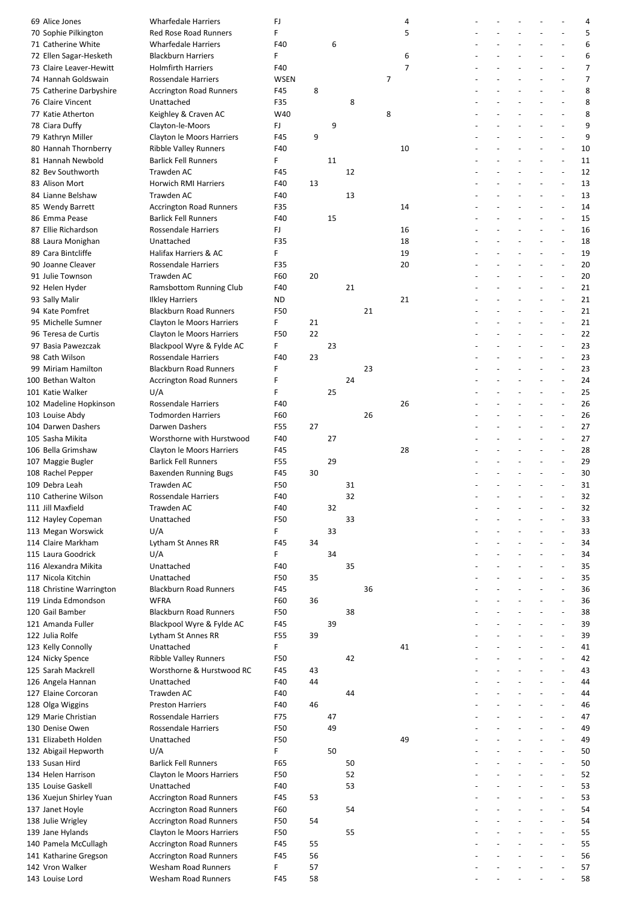| 69 Alice Jones           | <b>Wharfedale Harriers</b>     | FJ          |    |    |    |    | 4  |  |                          |                          |                          | 4              |
|--------------------------|--------------------------------|-------------|----|----|----|----|----|--|--------------------------|--------------------------|--------------------------|----------------|
| 70 Sophie Pilkington     | <b>Red Rose Road Runners</b>   | F           |    |    |    |    | 5  |  |                          |                          |                          | 5              |
| 71 Catherine White       | <b>Wharfedale Harriers</b>     | F40         |    | 6  |    |    |    |  |                          |                          | $\overline{\phantom{a}}$ | 6              |
|                          |                                |             |    |    |    |    |    |  |                          |                          |                          |                |
| 72 Ellen Sagar-Hesketh   | <b>Blackburn Harriers</b>      | F           |    |    |    |    | 6  |  |                          |                          | $\blacksquare$           | 6              |
| 73 Claire Leaver-Hewitt  | <b>Holmfirth Harriers</b>      | F40         |    |    |    |    | 7  |  |                          |                          | $\blacksquare$           | $\overline{7}$ |
| 74 Hannah Goldswain      | <b>Rossendale Harriers</b>     | <b>WSEN</b> |    |    |    | 7  |    |  |                          |                          |                          | $\overline{7}$ |
| 75 Catherine Darbyshire  | <b>Accrington Road Runners</b> | F45         | 8  |    |    |    |    |  |                          |                          |                          | 8              |
| 76 Claire Vincent        | Unattached                     | F35         |    |    | 8  |    |    |  |                          |                          | $\overline{a}$           | 8              |
| 77 Katie Atherton        | Keighley & Craven AC           | W40         |    |    |    | 8  |    |  |                          |                          | $\blacksquare$           | 8              |
| 78 Ciara Duffy           | Clayton-le-Moors               | FJ.         |    | 9  |    |    |    |  |                          |                          | $\blacksquare$           | 9              |
|                          |                                |             |    |    |    |    |    |  |                          |                          |                          | 9              |
| 79 Kathryn Miller        | Clayton le Moors Harriers      | F45         | 9  |    |    |    |    |  |                          |                          |                          |                |
| 80 Hannah Thornberry     | <b>Ribble Valley Runners</b>   | F40         |    |    |    |    | 10 |  |                          |                          | $\overline{a}$           | 10             |
| 81 Hannah Newbold        | <b>Barlick Fell Runners</b>    | F           |    | 11 |    |    |    |  |                          |                          | $\overline{a}$           | 11             |
| 82 Bev Southworth        | <b>Trawden AC</b>              | F45         |    |    | 12 |    |    |  |                          |                          | $\blacksquare$           | 12             |
| 83 Alison Mort           | <b>Horwich RMI Harriers</b>    | F40         | 13 |    |    |    |    |  |                          |                          | $\overline{a}$           | 13             |
| 84 Lianne Belshaw        | Trawden AC                     | F40         |    |    | 13 |    |    |  |                          |                          | ÷,                       | 13             |
| 85 Wendy Barrett         | <b>Accrington Road Runners</b> | F35         |    |    |    |    | 14 |  |                          |                          | $\overline{a}$           | 14             |
|                          |                                |             |    |    |    |    |    |  |                          |                          |                          |                |
| 86 Emma Pease            | <b>Barlick Fell Runners</b>    | F40         |    | 15 |    |    |    |  |                          |                          | $\blacksquare$           | 15             |
| 87 Ellie Richardson      | <b>Rossendale Harriers</b>     | FJ          |    |    |    |    | 16 |  |                          |                          | $\overline{\phantom{a}}$ | 16             |
| 88 Laura Monighan        | Unattached                     | F35         |    |    |    |    | 18 |  |                          |                          | $\overline{a}$           | 18             |
| 89 Cara Bintcliffe       | Halifax Harriers & AC          | F.          |    |    |    |    | 19 |  |                          |                          | $\blacksquare$           | 19             |
| 90 Joanne Cleaver        | <b>Rossendale Harriers</b>     | F35         |    |    |    |    | 20 |  |                          |                          |                          | 20             |
| 91 Julie Townson         | Trawden AC                     | F60         | 20 |    |    |    |    |  |                          |                          | $\overline{a}$           | 20             |
|                          |                                |             |    |    |    |    |    |  |                          |                          |                          |                |
| 92 Helen Hyder           | Ramsbottom Running Club        | F40         |    |    | 21 |    |    |  |                          |                          | $\overline{\phantom{a}}$ | 21             |
| 93 Sally Malir           | <b>Ilkley Harriers</b>         | <b>ND</b>   |    |    |    |    | 21 |  |                          |                          | $\overline{a}$           | 21             |
| 94 Kate Pomfret          | <b>Blackburn Road Runners</b>  | F50         |    |    |    | 21 |    |  |                          |                          |                          | 21             |
| 95 Michelle Sumner       | Clayton le Moors Harriers      | F.          | 21 |    |    |    |    |  |                          |                          | $\overline{a}$           | 21             |
| 96 Teresa de Curtis      | Clayton le Moors Harriers      | F50         | 22 |    |    |    |    |  |                          |                          | $\overline{a}$           | 22             |
| 97 Basia Pawezczak       | Blackpool Wyre & Fylde AC      | F.          |    | 23 |    |    |    |  |                          |                          | $\overline{\phantom{a}}$ | 23             |
|                          |                                |             |    |    |    |    |    |  |                          |                          |                          |                |
| 98 Cath Wilson           | <b>Rossendale Harriers</b>     | F40         | 23 |    |    |    |    |  |                          |                          | $\overline{a}$           | 23             |
| 99 Miriam Hamilton       | <b>Blackburn Road Runners</b>  | F           |    |    |    | 23 |    |  |                          |                          | Ĭ.                       | 23             |
| 100 Bethan Walton        | <b>Accrington Road Runners</b> | F           |    |    | 24 |    |    |  |                          |                          | $\overline{a}$           | 24             |
| 101 Katie Walker         | U/A                            | F           |    | 25 |    |    |    |  |                          |                          | $\overline{a}$           | 25             |
| 102 Madeline Hopkinson   | <b>Rossendale Harriers</b>     | F40         |    |    |    |    | 26 |  |                          | ÷                        | $\blacksquare$           | 26             |
| 103 Louise Abdy          | <b>Todmorden Harriers</b>      | F60         |    |    |    | 26 |    |  |                          |                          | $\frac{1}{2}$            | 26             |
|                          |                                |             |    |    |    |    |    |  |                          |                          |                          |                |
| 104 Darwen Dashers       | Darwen Dashers                 | F55         | 27 |    |    |    |    |  |                          |                          | Ĭ.                       | 27             |
| 105 Sasha Mikita         | Worsthorne with Hurstwood      | F40         |    | 27 |    |    |    |  |                          |                          | $\overline{a}$           | 27             |
| 106 Bella Grimshaw       | Clayton le Moors Harriers      | F45         |    |    |    |    | 28 |  |                          |                          | $\overline{\phantom{a}}$ | 28             |
| 107 Maggie Bugler        | <b>Barlick Fell Runners</b>    | F55         |    | 29 |    |    |    |  |                          | ÷                        | $\blacksquare$           | 29             |
| 108 Rachel Pepper        | <b>Baxenden Running Bugs</b>   | F45         | 30 |    |    |    |    |  |                          |                          | $\blacksquare$           | 30             |
| 109 Debra Leah           | Trawden AC                     | F50         |    |    | 31 |    |    |  |                          |                          |                          | 31             |
|                          |                                |             |    |    |    |    |    |  |                          |                          |                          |                |
| 110 Catherine Wilson     | Rossendale Harriers            | F40         |    |    | 32 |    |    |  |                          |                          |                          | 32             |
| 111 Jill Maxfield        | Trawden AC                     | F40         |    | 32 |    |    |    |  |                          |                          | $\blacksquare$           | 32             |
| 112 Hayley Copeman       | Unattached                     | F50         |    |    | 33 |    |    |  |                          |                          | ÷,                       | 33             |
| 113 Megan Worswick       | U/A                            | F.          |    | 33 |    |    |    |  |                          | $\overline{\phantom{a}}$ | $\frac{1}{2}$            | 33             |
| 114 Claire Markham       | Lytham St Annes RR             | F45         | 34 |    |    |    |    |  |                          |                          | Ĭ.                       | 34             |
| 115 Laura Goodrick       | U/A                            | F.          |    | 34 |    |    |    |  |                          |                          | $\overline{a}$           | 34             |
| 116 Alexandra Mikita     | Unattached                     | F40         |    |    | 35 |    |    |  |                          | ÷                        | $\overline{a}$           | 35             |
|                          |                                |             |    |    |    |    |    |  |                          |                          |                          |                |
| 117 Nicola Kitchin       | Unattached                     | F50         | 35 |    |    |    |    |  |                          | ÷,                       | $\blacksquare$           | 35             |
| 118 Christine Warrington | <b>Blackburn Road Runners</b>  | F45         |    |    |    | 36 |    |  |                          |                          | $\overline{a}$           | 36             |
| 119 Linda Edmondson      | <b>WFRA</b>                    | F60         | 36 |    |    |    |    |  |                          |                          | Ĭ.                       | 36             |
| 120 Gail Bamber          | <b>Blackburn Road Runners</b>  | F50         |    |    | 38 |    |    |  |                          |                          | $\overline{a}$           | 38             |
| 121 Amanda Fuller        | Blackpool Wyre & Fylde AC      | F45         |    | 39 |    |    |    |  |                          | $\overline{a}$           | $\overline{a}$           | 39             |
| 122 Julia Rolfe          | Lytham St Annes RR             | F55         | 39 |    |    |    |    |  |                          | ÷,                       | $\overline{\phantom{a}}$ | 39             |
| 123 Kelly Connolly       | Unattached                     | F.          |    |    |    |    | 41 |  |                          |                          | $\overline{a}$           | 41             |
|                          |                                |             |    |    |    |    |    |  |                          |                          |                          |                |
| 124 Nicky Spence         | Ribble Valley Runners          | F50         |    |    | 42 |    |    |  |                          |                          |                          | 42             |
| 125 Sarah Mackrell       | Worsthorne & Hurstwood RC      | F45         | 43 |    |    |    |    |  |                          |                          | L.                       | 43             |
| 126 Angela Hannan        | Unattached                     | F40         | 44 |    |    |    |    |  |                          |                          | $\blacksquare$           | 44             |
| 127 Elaine Corcoran      | Trawden AC                     | F40         |    |    | 44 |    |    |  |                          | ÷,                       | $\blacksquare$           | 44             |
| 128 Olga Wiggins         | <b>Preston Harriers</b>        | F40         | 46 |    |    |    |    |  |                          |                          | $\overline{a}$           | 46             |
| 129 Marie Christian      | <b>Rossendale Harriers</b>     | F75         |    | 47 |    |    |    |  |                          |                          |                          | 47             |
|                          |                                |             |    |    |    |    |    |  |                          |                          |                          |                |
| 130 Denise Owen          | <b>Rossendale Harriers</b>     | F50         |    | 49 |    |    |    |  |                          |                          | $\overline{a}$           | 49             |
| 131 Elizabeth Holden     | Unattached                     | F50         |    |    |    |    | 49 |  |                          | ÷,                       | $\overline{a}$           | 49             |
| 132 Abigail Hepworth     | U/A                            | F.          |    | 50 |    |    |    |  |                          | ÷,                       | $\overline{\phantom{a}}$ | 50             |
| 133 Susan Hird           | <b>Barlick Fell Runners</b>    | F65         |    |    | 50 |    |    |  |                          |                          | $\frac{1}{2}$            | 50             |
| 134 Helen Harrison       | Clayton le Moors Harriers      | F50         |    |    | 52 |    |    |  |                          |                          | $\overline{\phantom{a}}$ | 52             |
| 135 Louise Gaskell       | Unattached                     | F40         |    |    | 53 |    |    |  |                          |                          | $\overline{a}$           | 53             |
|                          |                                |             |    |    |    |    |    |  |                          | ÷,                       | $\overline{a}$           |                |
| 136 Xuejun Shirley Yuan  | <b>Accrington Road Runners</b> | F45         | 53 |    |    |    |    |  |                          |                          |                          | 53             |
| 137 Janet Hoyle          | <b>Accrington Road Runners</b> | F60         |    |    | 54 |    |    |  |                          | ÷,                       | $\overline{\phantom{a}}$ | 54             |
| 138 Julie Wrigley        | <b>Accrington Road Runners</b> | F50         | 54 |    |    |    |    |  |                          |                          | $\overline{a}$           | 54             |
| 139 Jane Hylands         | Clayton le Moors Harriers      | F50         |    |    | 55 |    |    |  |                          |                          | $\overline{a}$           | 55             |
| 140 Pamela McCullagh     | <b>Accrington Road Runners</b> | F45         | 55 |    |    |    |    |  |                          |                          | $\overline{a}$           | 55             |
| 141 Katharine Gregson    | <b>Accrington Road Runners</b> | F45         | 56 |    |    |    |    |  |                          | ÷,                       | $\overline{a}$           | 56             |
| 142 Vron Walker          | <b>Wesham Road Runners</b>     | F           | 57 |    |    |    |    |  |                          | L,                       | $\blacksquare$           | 57             |
| 143 Louise Lord          |                                |             |    |    |    |    |    |  |                          |                          |                          |                |
|                          | Wesham Road Runners            | F45         | 58 |    |    |    |    |  | $\overline{\phantom{a}}$ | $\overline{\phantom{a}}$ | $\overline{\phantom{a}}$ | 58             |